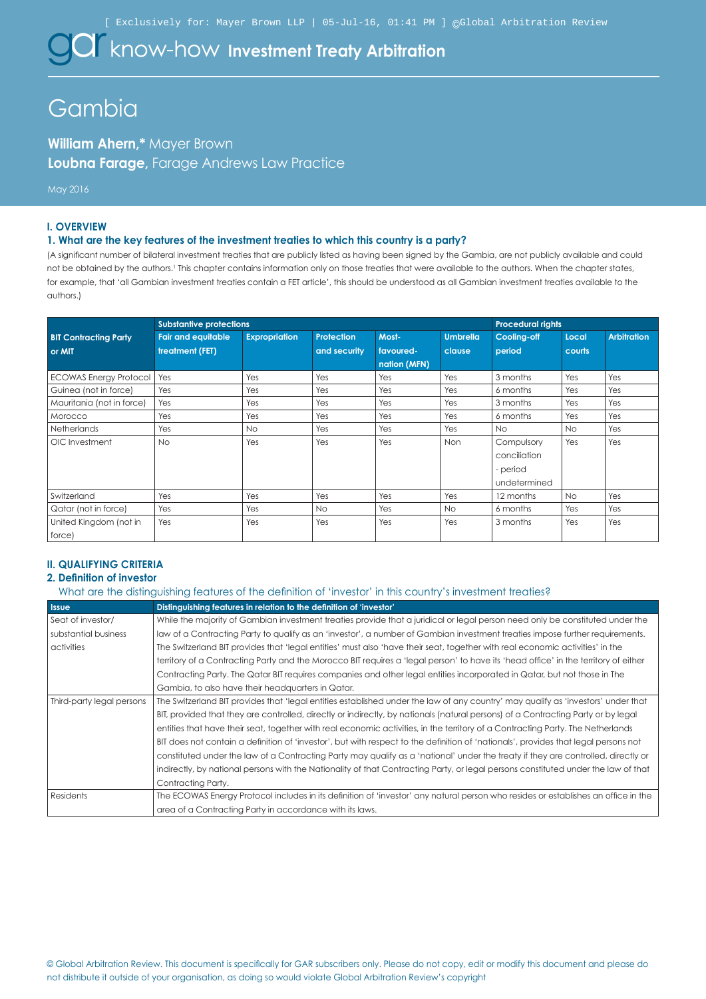$\alpha$  know-how Investment Treaty Arbitration

# **Gambia**

**William Ahern,\*** Mayer Brown **Loubna Farage,** Farage Andrews Law Practice

## May 2016

#### **I. OVERVIEW**

#### **1. What are the key features of the investment treaties to which this country is a party?**

(A significant number of bilateral investment treaties that are publicly listed as having been signed by the Gambia, are not publicly available and could not be obtained by the authors.<sup>1</sup> This chapter contains information only on those treaties that were available to the authors. When the chapter states, for example, that 'all Gambian investment treaties contain a FET article', this should be understood as all Gambian investment treaties available to the authors.)

|                               | <b>Substantive protections</b> |                      |                   |              | <b>Procedural rights</b> |              |           |                    |
|-------------------------------|--------------------------------|----------------------|-------------------|--------------|--------------------------|--------------|-----------|--------------------|
| <b>BIT Contracting Party</b>  | <b>Fair and equitable</b>      | <b>Expropriation</b> | <b>Protection</b> | Most-        | <b>Umbrella</b>          | Cooling-off  | Local     | <b>Arbitration</b> |
| or MIT                        | treatment (FET)                |                      | and security      | favoured-    | clause                   | period       | courts    |                    |
|                               |                                |                      |                   | nation (MFN) |                          |              |           |                    |
| <b>ECOWAS Energy Protocol</b> | Yes                            | Yes                  | Yes               | Yes          | Yes                      | 3 months     | Yes       | Yes                |
| Guinea (not in force)         | Yes                            | Yes                  | Yes               | Yes          | Yes                      | 6 months     | Yes       | Yes                |
| Mauritania (not in force)     | Yes                            | Yes                  | Yes               | Yes          | Yes                      | 3 months     | Yes       | Yes                |
| Morocco                       | Yes                            | Yes                  | Yes               | Yes          | Yes                      | 6 months     | Yes       | Yes                |
| <b>Netherlands</b>            | Yes                            | <b>No</b>            | Yes               | Yes          | Yes                      | <b>No</b>    | <b>No</b> | Yes                |
| OIC Investment                | <b>No</b>                      | Yes                  | Yes               | Yes          | <b>Non</b>               | Compulsory   | Yes       | Yes                |
|                               |                                |                      |                   |              |                          | conciliation |           |                    |
|                               |                                |                      |                   |              |                          | - period     |           |                    |
|                               |                                |                      |                   |              |                          | undetermined |           |                    |
| Switzerland                   | Yes                            | Yes                  | Yes               | Yes          | Yes                      | 12 months    | No.       | Yes                |
| Qatar (not in force)          | Yes                            | Yes                  | <b>No</b>         | Yes          | No                       | 6 months     | Yes       | Yes                |
| United Kingdom (not in        | Yes                            | Yes                  | Yes               | Yes          | Yes                      | 3 months     | Yes       | Yes                |
| force)                        |                                |                      |                   |              |                          |              |           |                    |

# **II. QUALIFYING CRITERIA**

## **2. Definition of investor**

What are the distinguishing features of the definition of 'investor' in this country's investment treaties?

| <b>Issue</b>              | Distinguishing features in relation to the definition of 'investor'                                                                 |
|---------------------------|-------------------------------------------------------------------------------------------------------------------------------------|
| Seat of investor/         | While the majority of Gambian investment treaties provide that a juridical or legal person need only be constituted under the       |
| substantial business      | law of a Contracting Party to qualify as an 'investor', a number of Gambian investment treaties impose further requirements.        |
| activities                | The Switzerland BIT provides that 'legal entities' must also 'have their seat, together with real economic activities' in the       |
|                           | territory of a Contracting Party and the Morocco BIT requires a 'legal person' to have its 'head office' in the territory of either |
|                           | Contracting Party. The Qatar BIT requires companies and other legal entities incorporated in Qatar, but not those in The            |
|                           | Gambia, to also have their headquarters in Qatar.                                                                                   |
| Third-party legal persons | The Switzerland BIT provides that 'legal entities established under the law of any country' may qualify as 'investors' under that   |
|                           | BIT, provided that they are controlled, directly or indirectly, by nationals (natural persons) of a Contracting Party or by legal   |
|                           | entities that have their seat, together with real economic activities, in the territory of a Contracting Party. The Netherlands     |
|                           | BIT does not contain a definition of 'investor', but with respect to the definition of 'nationals', provides that legal persons not |
|                           | constituted under the law of a Contracting Party may qualify as a 'national' under the treaty if they are controlled, directly or   |
|                           | indirectly, by national persons with the Nationality of that Contracting Party, or legal persons constituted under the law of that  |
|                           | Contracting Party.                                                                                                                  |
| Residents                 | The ECOWAS Energy Protocol includes in its definition of 'investor' any natural person who resides or establishes an office in the  |
|                           | area of a Contracting Party in accordance with its laws.                                                                            |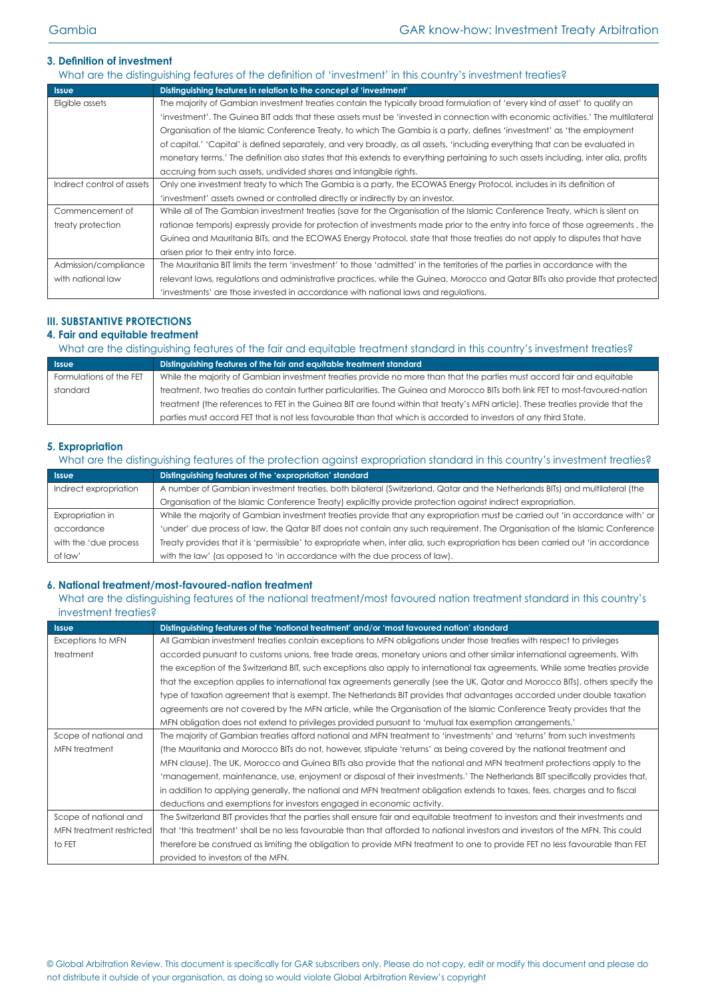# **3. Definition of investment**

|                            | What are the distinguishing features of the definition of 'investment' in this country's investment treaties?                        |
|----------------------------|--------------------------------------------------------------------------------------------------------------------------------------|
| <b>Issue</b>               | Distinguishing features in relation to the concept of 'investment'                                                                   |
| Eligible assets            | The majority of Gambian investment treaties contain the typically broad formulation of 'every kind of asset' to qualify an           |
|                            | 'investment'. The Guinea BIT adds that these assets must be 'invested in connection with economic activities.' The multilateral      |
|                            | Organisation of the Islamic Conference Treaty, to which The Gambia is a party, defines 'investment' as 'the employment               |
|                            | of capital.' 'Capital' is defined separately, and very broadly, as all assets, 'including everything that can be evaluated in        |
|                            | monetary terms.' The definition also states that this extends to everything pertaining to such assets including, inter alia, profits |
|                            | accruing from such assets, undivided shares and intangible rights.                                                                   |
| Indirect control of assets | Only one investment treaty to which The Gambia is a party, the ECOWAS Energy Protocol, includes in its definition of                 |
|                            | 'investment' assets owned or controlled directly or indirectly by an investor.                                                       |
| Commencement of            | While all of The Gambian investment treaties (save for the Organisation of the Islamic Conference Treaty, which is silent on         |
| treaty protection          | rationae temporis) expressly provide for protection of investments made prior to the entry into force of those agreements, the       |
|                            | Guinea and Mauritania BITs, and the ECOWAS Energy Protocol, state that those treaties do not apply to disputes that have             |
|                            | arisen prior to their entry into force.                                                                                              |
| Admission/compliance       | The Mauritania BIT limits the term 'investment' to those 'admitted' in the territories of the parties in accordance with the         |
| with national law          | relevant laws, regulations and administrative practices, while the Guinea, Morocco and Qatar BITs also provide that protected        |
|                            | 'investments' are those invested in accordance with national laws and regulations.                                                   |

# **III. SUBSTANTIVE PROTECTIONS**

# **4. Fair and equitable treatment**

What are the distinguishing features of the fair and equitable treatment standard in this country's investment treaties?

| Sissue                  | Distinguishing features of the fair and equitable treatment standard                                                            |
|-------------------------|---------------------------------------------------------------------------------------------------------------------------------|
| Formulations of the FET | While the majority of Gambian investment treaties provide no more than that the parties must accord fair and equitable          |
| standard                | treatment, two treaties do contain further particularities. The Guinea and Morocco BITs both link FET to most-favoured-nation   |
|                         | treatment (the references to FET in the Guinea BIT are found within that treaty's MFN article). These treaties provide that the |
|                         | parties must accord FET that is not less favourable than that which is accorded to investors of any third State.                |

## **5. Expropriation**

| What are the distinguishing features of the protection against expropriation standard in this country's investment treaties? |                                                                                                                                  |  |
|------------------------------------------------------------------------------------------------------------------------------|----------------------------------------------------------------------------------------------------------------------------------|--|
| <b>Issue</b>                                                                                                                 | Distinguishing features of the 'expropriation' standard                                                                          |  |
| Indirect expropriation                                                                                                       | A number of Gambian investment treaties, both bilateral (Switzerland, Qatar and the Netherlands BITs) and multilateral (the      |  |
|                                                                                                                              | Organisation of the Islamic Conference Treaty) explicitly provide protection against indirect expropriation.                     |  |
| Expropriation in                                                                                                             | While the majority of Gambian investment treaties provide that any expropriation must be carried out 'in accordance with' or     |  |
| accordance                                                                                                                   | 'under' due process of law, the Qatar BIT does not contain any such requirement. The Organisation of the Islamic Conference      |  |
| with the 'due process                                                                                                        | Treaty provides that it is 'permissible' to expropriate when, inter alia, such expropriation has been carried out 'in accordance |  |
| of law'                                                                                                                      | with the law' (as opposed to 'in accordance with the due process of law).                                                        |  |

## **6. National treatment/most-favoured-nation treatment**

# What are the distinguishing features of the national treatment/most favoured nation treatment standard in this country's investment treaties?

| <b>Issue</b>             | Distinguishing features of the 'national treatment' and/or 'most favoured nation' standard                                      |
|--------------------------|---------------------------------------------------------------------------------------------------------------------------------|
| Exceptions to MFN        | All Gambian investment treaties contain exceptions to MFN obligations under those treaties with respect to privileges           |
| treatment                | accorded pursuant to customs unions, free trade areas, monetary unions and other similar international agreements. With         |
|                          | the exception of the Switzerland BIT, such exceptions also apply to international tax agreements. While some treaties provide   |
|                          | that the exception applies to international tax agreements generally (see the UK, Qatar and Morocco BITs), others specify the   |
|                          | type of taxation agreement that is exempt. The Netherlands BIT provides that advantages accorded under double taxation          |
|                          | agreements are not covered by the MFN article, while the Organisation of the Islamic Conference Treaty provides that the        |
|                          | MFN obligation does not extend to privileges provided pursuant to 'mutual tax exemption arrangements.'                          |
| Scope of national and    | The majority of Gambian treaties afford national and MFN treatment to 'investments' and 'returns' from such investments         |
| MFN treatment            | (the Mauritania and Morocco BITs do not, however, stipulate 'returns' as being covered by the national treatment and            |
|                          | MFN clause). The UK, Morocco and Guinea BITs also provide that the national and MFN treatment protections apply to the          |
|                          | 'management, maintenance, use, enjoyment or disposal of their investments.' The Netherlands BIT specifically provides that,     |
|                          | in addition to applying generally, the national and MFN treatment obligation extends to taxes, fees, charges and to fiscal      |
|                          | deductions and exemptions for investors engaged in economic activity.                                                           |
| Scope of national and    | The Switzerland BIT provides that the parties shall ensure fair and equitable treatment to investors and their investments and  |
| MFN treatment restricted | that 'this treatment' shall be no less favourable than that afforded to national investors and investors of the MFN. This could |
| to FET                   | therefore be construed as limiting the obligation to provide MFN treatment to one to provide FET no less favourable than FET    |
|                          | provided to investors of the MFN.                                                                                               |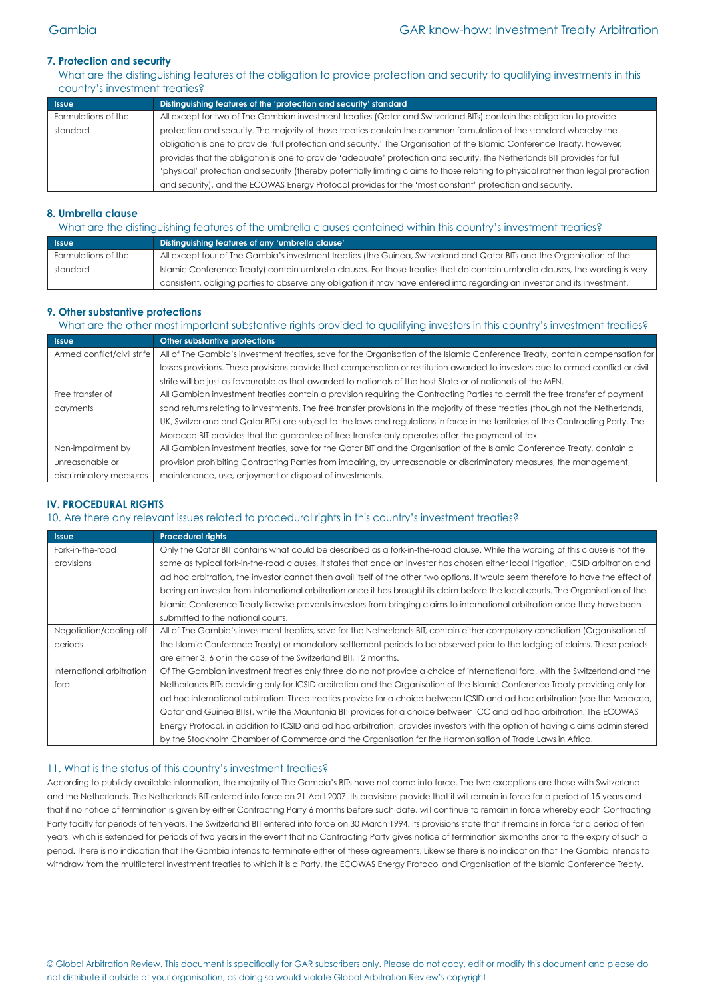## **7. Protection and security**

What are the distinguishing features of the obligation to provide protection and security to qualifying investments in this country's investment treaties?

| <b>Issue</b>        | Distinguishing features of the 'protection and security' standard                                                                  |
|---------------------|------------------------------------------------------------------------------------------------------------------------------------|
| Formulations of the | All except for two of The Gambian investment treaties (Qatar and Switzerland BITs) contain the obligation to provide               |
| standard            | protection and security. The majority of those treaties contain the common formulation of the standard whereby the                 |
|                     | obligation is one to provide 'full protection and security.' The Organisation of the Islamic Conference Treaty, however,           |
|                     | provides that the obligation is one to provide 'adequate' protection and security, the Netherlands BIT provides for full           |
|                     | 'physical' protection and security (thereby potentially limiting claims to those relating to physical rather than legal protection |
|                     | and security), and the ECOWAS Energy Protocol provides for the 'most constant' protection and security.                            |

## **8. Umbrella clause**

| What are the distinguishing features of the umbrella clauses contained within this country's investment treaties? |                                                                                                                               |  |
|-------------------------------------------------------------------------------------------------------------------|-------------------------------------------------------------------------------------------------------------------------------|--|
| Issue                                                                                                             | Distinguishing features of any 'umbrella clause'                                                                              |  |
| Formulations of the                                                                                               | All except four of The Gambia's investment treaties (the Guinea, Switzerland and Qatar BITs and the Organisation of the       |  |
| standard                                                                                                          | Islamic Conference Treaty) contain umbrella clauses. For those treaties that do contain umbrella clauses, the wording is very |  |
|                                                                                                                   | consistent, obliging parties to observe any obligation it may have entered into regarding an investor and its investment.     |  |

## **9. Other substantive protections**

What are the other most important substantive rights provided to qualifying investors in this country's investment treaties?

| <b>Issue</b>                | Other substantive protections                                                                                                     |
|-----------------------------|-----------------------------------------------------------------------------------------------------------------------------------|
| Armed conflict/civil strife | All of The Gambia's investment treaties, save for the Organisation of the Islamic Conference Treaty, contain compensation for     |
|                             | losses provisions. These provisions provide that compensation or restitution awarded to investors due to armed conflict or civil  |
|                             | strife will be just as favourable as that awarded to nationals of the host State or of nationals of the MFN.                      |
| Free transfer of            | All Gambian investment treaties contain a provision requiring the Contracting Parties to permit the free transfer of payment      |
| payments                    | sand returns relating to investments. The free transfer provisions in the majority of these treaties (though not the Netherlands, |
|                             | UK, Switzerland and Qatar BITs) are subject to the laws and regulations in force in the territories of the Contracting Party. The |
|                             | Morocco BIT provides that the guarantee of free transfer only operates after the payment of tax.                                  |
| Non-impairment by           | All Gambian investment treaties, save for the Qatar BIT and the Organisation of the Islamic Conference Treaty, contain a          |
| unreasonable or             | provision prohibiting Contracting Parties from impairing, by unreasonable or discriminatory measures, the management,             |
| discriminatory measures     | maintenance, use, enjoyment or disposal of investments.                                                                           |

# **IV. PROCEDURAL RIGHTS**

## 10. Are there any relevant issues related to procedural rights in this country's investment treaties?

| <b>Issue</b>              | <b>Procedural rights</b>                                                                                                            |
|---------------------------|-------------------------------------------------------------------------------------------------------------------------------------|
| Fork-in-the-road          | Only the Qatar BIT contains what could be described as a fork-in-the-road clause. While the wording of this clause is not the       |
| provisions                | same as typical fork-in-the-road clauses, it states that once an investor has chosen either local litigation, ICSID arbitration and |
|                           | ad hoc arbitration, the investor cannot then avail itself of the other two options. It would seem therefore to have the effect of   |
|                           | baring an investor from international arbitration once it has brought its claim before the local courts. The Organisation of the    |
|                           | Islamic Conference Treaty likewise prevents investors from bringing claims to international arbitration once they have been         |
|                           | submitted to the national courts.                                                                                                   |
| Negotiation/cooling-off   | All of The Gambia's investment treaties, save for the Netherlands BIT, contain either compulsory conciliation (Organisation of      |
| periods                   | the Islamic Conference Treaty) or mandatory settlement periods to be observed prior to the lodging of claims. These periods         |
|                           | are either 3, 6 or in the case of the Switzerland BIT, 12 months.                                                                   |
| International arbitration | Of The Gambian investment treaties only three do no not provide a choice of international fora, with the Switzerland and the        |
| fora                      | Netherlands BITs providing only for ICSID arbitration and the Organisation of the Islamic Conference Treaty providing only for      |
|                           | ad hoc international arbitration. Three treaties provide for a choice between ICSID and ad hoc arbitration (see the Morocco,        |
|                           | Qatar and Guinea BITs), while the Mauritania BIT provides for a choice between ICC and ad hoc arbitration. The ECOWAS               |
|                           | Energy Protocol, in addition to ICSID and ad hoc arbitration, provides investors with the option of having claims administered      |
|                           | by the Stockholm Chamber of Commerce and the Organisation for the Harmonisation of Trade Laws in Africa.                            |

## 11. What is the status of this country's investment treaties?

According to publicly available information, the majority of The Gambia's BITs have not come into force. The two exceptions are those with Switzerland and the Netherlands. The Netherlands BIT entered into force on 21 April 2007. Its provisions provide that it will remain in force for a period of 15 years and that if no notice of termination is given by either Contracting Party 6 months before such date, will continue to remain in force whereby each Contracting Party tacitly for periods of ten years. The Switzerland BIT entered into force on 30 March 1994. Its provisions state that it remains in force for a period of ten years, which is extended for periods of two years in the event that no Contracting Party gives notice of termination six months prior to the expiry of such a period. There is no indication that The Gambia intends to terminate either of these agreements. Likewise there is no indication that The Gambia intends to withdraw from the multilateral investment treaties to which it is a Party, the ECOWAS Energy Protocol and Organisation of the Islamic Conference Treaty.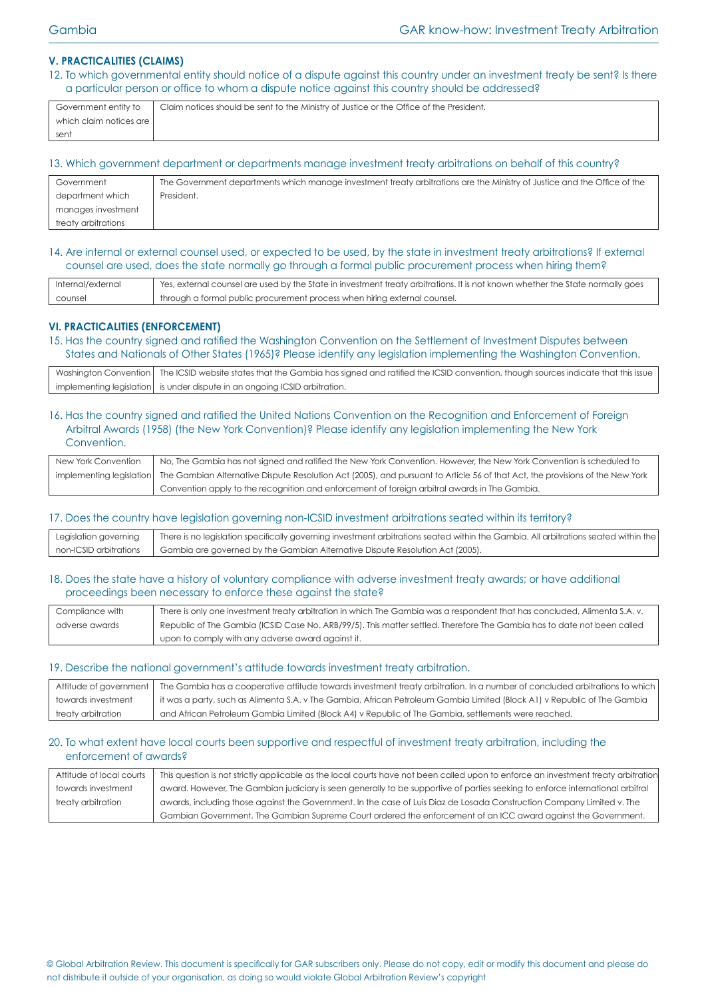## **V. PRACTICALITIES (CLAIMS)**

12. To which governmental entity should notice of a dispute against this country under an investment treaty be sent? Is there a particular person or office to whom a dispute notice against this country should be addressed?

| Government entity to    | Claim notices should be sent to the Ministry of Justice or the Office of the President. |
|-------------------------|-----------------------------------------------------------------------------------------|
| which claim notices are |                                                                                         |
| sent                    |                                                                                         |
|                         |                                                                                         |

#### 13. Which government department or departments manage investment treaty arbitrations on behalf of this country?

| Government          | The Government departments which manage investment treaty arbitrations are the Ministry of Justice and the Office of the |
|---------------------|--------------------------------------------------------------------------------------------------------------------------|
| department which    | President.                                                                                                               |
| manages investment  |                                                                                                                          |
| treaty arbitrations |                                                                                                                          |

#### 14. Are internal or external counsel used, or expected to be used, by the state in investment treaty arbitrations? If external counsel are used, does the state normally go through a formal public procurement process when hiring them?

| Internal/external | Yes, external counsel are used by the State in investment treaty arbitrations. It is not known whether the State normally goes |
|-------------------|--------------------------------------------------------------------------------------------------------------------------------|
| counsel           | through a formal public procurement process when hiring external counsel.                                                      |

## **VI. PRACTICALITIES (ENFORCEMENT)**

15. Has the country signed and ratified the Washington Convention on the Settlement of Investment Disputes between States and Nationals of Other States (1965)? Please identify any legislation implementing the Washington Convention.

| Washington Convention   The ICSID website states that the Gambia has signed and ratified the ICSID convention, though sources indicate that this issue |
|--------------------------------------------------------------------------------------------------------------------------------------------------------|
| implementing legislation is under dispute in an ongoing ICSID arbitration.                                                                             |

#### 16. Has the country signed and ratified the United Nations Convention on the Recognition and Enforcement of Foreign Arbitral Awards (1958) (the New York Convention)? Please identify any legislation implementing the New York Convention.

| New York Convention | No, The Gambia has not signed and ratified the New York Convention. However, the New York Convention is scheduled to                                     |  |  |  |
|---------------------|----------------------------------------------------------------------------------------------------------------------------------------------------------|--|--|--|
|                     | implementing legislation   The Gambian Alternative Dispute Resolution Act (2005), and pursuant to Article 56 of that Act, the provisions of the New York |  |  |  |
|                     | Convention apply to the recognition and enforcement of foreign arbitral awards in The Gambia.                                                            |  |  |  |

#### 17. Does the country have legislation governing non-ICSID investment arbitrations seated within its territory?

|                        | Legislation governing   There is no legislation specifically governing investment arbitrations seated within the Gambia. All arbitrations seated within the |
|------------------------|-------------------------------------------------------------------------------------------------------------------------------------------------------------|
| non-ICSID arbitrations | Gambia are governed by the Gambian Alternative Dispute Resolution Act (2005).                                                                               |

#### 18. Does the state have a history of voluntary compliance with adverse investment treaty awards; or have additional proceedings been necessary to enforce these against the state?

| Compliance with | There is only one investment treaty arbitration in which The Gambia was a respondent that has concluded, Alimenta S.A. v. |  |  |  |
|-----------------|---------------------------------------------------------------------------------------------------------------------------|--|--|--|
| adverse awards  | Republic of The Gambia (ICSID Case No. ARB/99/5). This matter settled. Therefore The Gambia has to date not been called   |  |  |  |
|                 | upon to comply with any adverse award against it.                                                                         |  |  |  |

#### 19. Describe the national government's attitude towards investment treaty arbitration.

| Attitude of government | The Gambia has a cooperative attitude towards investment treaty arbitration. In a number of concluded arbitrations to which |
|------------------------|-----------------------------------------------------------------------------------------------------------------------------|
| towards investment     | it was a party, such as Alimenta S.A. v The Gambia, African Petroleum Gambia Limited (Block A1) v Republic of The Gambia    |
| treaty arbitration     | and African Petroleum Gambia Limited (Block A4) v Republic of The Gambia, settlements were reached.                         |

## 20. To what extent have local courts been supportive and respectful of investment treaty arbitration, including the enforcement of awards?

| Attitude of local courts | This question is not strictly applicable as the local courts have not been called upon to enforce an investment treaty arbitration |
|--------------------------|------------------------------------------------------------------------------------------------------------------------------------|
| towards investment       | award. However, The Gambian judiciary is seen generally to be supportive of parties seeking to enforce international arbitral      |
| treaty arbitration       | awards, including those against the Government. In the case of Luis Diaz de Losada Construction Company Limited v. The             |
|                          | Gambian Government, The Gambian Supreme Court ordered the enforcement of an ICC award against the Government.                      |